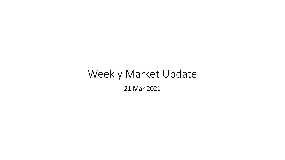# Weekly Market Update 21 Mar 2021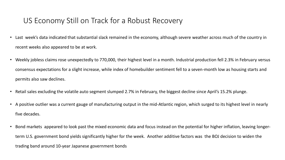# US Economy Still on Track for a Robust Recovery

- Last week's data indicated that substantial slack remained in the economy, although severe weather across much of the country in recent weeks also appeared to be at work.
- Weekly jobless claims rose unexpectedly to 770,000, their highest level in a month. Industrial production fell 2.3% in February versus consensus expectations for a slight increase, while index of homebuilder sentiment fell to a seven-month low as housing starts and permits also saw declines.
- Retail sales excluding the volatile auto segment slumped 2.7% in February, the biggest decline since April's 15.2% plunge.
- A positive outlier was a current gauge of manufacturing output in the mid-Atlantic region, which surged to its highest level in nearly five decades.
- Bond markets appeared to look past the mixed economic data and focus instead on the potential for higher inflation, leaving longerterm U.S. government bond yields significantly higher for the week. Another additive factors was the BOJ decision to widen the trading band around 10-year Japanese government bonds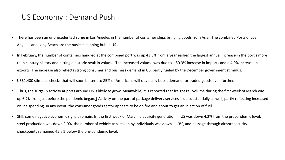#### US Economy : Demand Push

- There has been an unprecedented surge in Los Angeles in the number of container ships bringing goods from Asia. The combined Ports of Los Angeles and Long Beach are the busiest shipping hub in US .
- In February, the number of containers handled at the combined port was up 43.3% from a year earlier, the largest annual increase in the port's more than century history and hitting a historic peak in volume. The increased volume was due to a 50.3% increase in imports and a 4.9% increase in exports. The increase also reflects strong consumer and business demand in US, partly fueled by the December government stimulus.
- US\$1,400 stimulus checks that will soon be sent to 85% of Americans will obviously boost demand for traded goods even further.
- Thus, the surge in activity at ports around US is likely to grow. Meanwhile, it is reported that freight rail volume during the first week of March was up 6.7% from just before the pandemic began.[1](https://www2.deloitte.com/us/en/insights/economy/global-economic-outlook/weekly-update.html#endnote-1) Activity on the part of package delivery services is up substantially as well, partly reflecting increased online spending. In any event, the consumer goods sector appears to be on fire and about to get an injection of fuel.
- Still, some negative economic signals remain. In the first week of March, electricity generation in US was down 4.2% from the prepandemic level, steel production was down 9.0%, the number of vehicle trips taken by individuals was down 11.3%, and passage through airport security checkpoints remained 45.7% below the pre-pandemic level.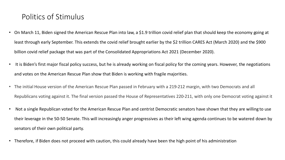# Politics of Stimulus

- On March 11, Biden signed the American Rescue Plan into law, a \$1.9 trillion covid relief plan that should keep the economy going at least through early September. This extends the covid relief brought earlier by the \$2 trillion CARES Act (March 2020) and the \$900 billion covid relief package that was part of the Consolidated Appropriations Act 2021 (December 2020).
- It is Biden's first major fiscal policy success, but he is already working on fiscal policy for the coming years. However, the negotiations and votes on the American Rescue Plan show that Biden is working with fragile majorities.
- The initial House version of the American Rescue Plan passed in February with a 219-212 margin, with two Democrats and all Republicans voting against it. The final version passed the House of Representatives 220-211, with only one Democrat voting against it
- Not a single Republican voted for the American Rescue Plan and centrist Democratic senators have shown that they are willing to use their leverage in the 50-50 Senate. This will increasingly anger progressives as their left wing agenda continues to be watered down by senators of their own political party.
- Therefore, if Biden does not proceed with caution, this could already have been the high point of his administration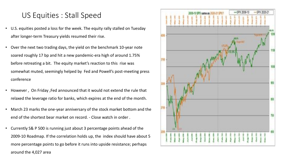#### US Equities : Stall Speed

- U.S. equities posted a loss for the week. The equity rally stalled on Tuesday after longer-term Treasury yields resumed their rise.
- Over the next two trading days, the yield on the benchmark 10-year note soared roughly 17 bp and hit a new pandemic-era high of around 1.75% before retreating a bit. The equity market's reaction to this rise was somewhat muted, seemingly helped by Fed and Powell's post-meeting press conference
- However , On Friday ,Fed announced that it would not extend the rule that relaxed the leverage ratio for banks, which expires at the end of the month.
- March 23 marks the one-year anniversary of the stock market bottom and the end of the shortest bear market on record. - Close watch in order .
- Currently S& P 500 is running just about 3 percentage points ahead of the 2009-10 Roadmap. If the correlation holds up, the index should have about 5 more percentage points to go before it runs into upside resistance; perhaps around the 4,027 area

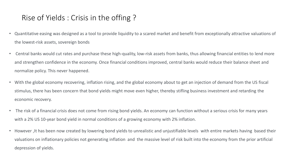# Rise of Yields : Crisis in the offing ?

- Quantitative easing was designed as a tool to provide liquidity to a scared market and benefit from exceptionally attractive valuations of the lowest-risk assets, sovereign bonds
- Central banks would cut rates and purchase these high-quality, low-risk assets from banks, thus allowing financial entities to lend more and strengthen confidence in the economy. Once financial conditions improved, central banks would reduce their balance sheet and normalize policy. This never happened.
- With the global economy recovering, inflation rising, and the global economy about to get an injection of demand from the US fiscal stimulus, there has been concern that bond yields might move even higher, thereby stifling business investment and retarding the economic recovery.
- The risk of a financial crisis does not come from rising bond yields. An economy can function without a serious crisis for many years with a 2% US 10-year bond yield in normal conditions of a growing economy with 2% inflation.
- However ,It has been now created by lowering bond yields to unrealistic and unjustifiable levels with entire markets having based their valuations on inflationary policies not generating inflation and the massive level of risk built into the economy from the prior artificial depression of yields.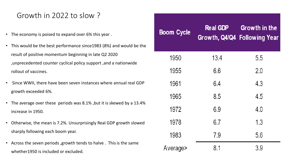# Growth in 2022 to slow ?

- The economy is poised to expand over 6% this year .
- This would be the best performance since1983 (8%) and would be the result of positive momentum beginning in late Q2 2020 ,unprecedented counter cyclical policy support ,and a nationwide rollout of vaccines.
- Since WWII, there have been seven instances where annual real GDP growth exceeded 6%.
- The average over these periods was 8.1% ,but it is skewed by a 13.4% increase in 1950.
- Otherwise, the mean is 7.2%. Unsurprisingly Real GDP growth slowed sharply following each boom year.
- Across the seven periods ,growth tends to halve . This is the same whether1950 is included or excluded.

| <b>Boom Cycle</b> | <b>Real GDP</b> | <b>Growth in the</b><br>Growth, Q4/Q4 Following Year |
|-------------------|-----------------|------------------------------------------------------|
| 1950              | 13.4            | 5.5                                                  |
| 1955              | 6.6             | 2.0                                                  |
| 1961              | 6.4             | 4.3                                                  |
| 1965              | 8.5             | 4.5                                                  |
| 1972              | 6.9             | 4.0                                                  |
| 1978              | 6.7             | 1.3                                                  |
| 1983              | 7.9             | 5.6                                                  |
| Average>          | 8.1             | 3.9                                                  |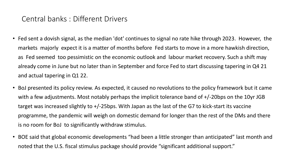## Central banks : Different Drivers

- Fed sent a dovish signal, as the median 'dot' continues to signal no rate hike through 2023. However, the markets majorly expect it is a matter of months before Fed starts to move in a more hawkish direction, as Fed seemed too pessimistic on the economic outlook and labour market recovery. Such a shift may already come in June but no later than in September and force Fed to start discussing tapering in Q4 21 and actual tapering in Q1 22.
- BoJ presented its policy review. As expected, it caused no revolutions to the policy framework but it came with a few adjustments. Most notably perhaps the implicit tolerance band of +/-20bps on the 10yr JGB target was increased slightly to +/-25bps. With Japan as the last of the G7 to kick-start its vaccine programme, the pandemic will weigh on domestic demand for longer than the rest of the DMs and there is no room for BoJ to significantly withdraw stimulus.
- BOE said that global economic developments "had been a little stronger than anticipated" last month and noted that the U.S. fiscal stimulus package should provide "significant additional support."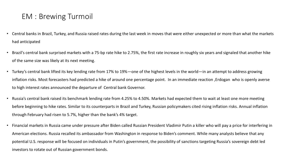# EM : Brewing Turmoil

- Central banks in Brazil, Turkey, and Russia raised rates during the last week in moves that were either unexpected or more than what the markets had anticipated
- Brazil's central bank surprised markets with a 75-bp rate hike to 2.75%, the first rate increase in roughly six years and signaled that another hike of the same size was likely at its next meeting.
- Turkey's central bank lifted its key lending rate from 17% to 19%—one of the highest levels in the world—in an attempt to address growing inflation risks. Most forecasters had predicted a hike of around one percentage point. In an immediate reaction ,Erdogan who is openly averse to high interest rates announced the departure of Central bank Governor.
- Russia's central bank raised its benchmark lending rate from 4.25% to 4.50%. Markets had expected them to wait at least one more meeting before beginning to hike rates. Similar to its counterparts in Brazil and Turkey, Russian policymakers cited rising inflation risks. Annual inflation through February had risen to 5.7%, higher than the bank's 4% target.
- Financial markets in Russia came under pressure after Biden called Russian President Vladimir Putin a killer who will pay a price for interfering in American elections. Russia recalled its ambassador from Washington in response to Biden's comment. While many analysts believe that any potential U.S. response will be focused on individuals in Putin's government, the possibility of sanctions targeting Russia's sovereign debt led investors to rotate out of Russian government bonds.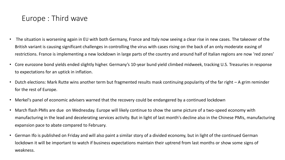# Europe : Third wave

- The situation is worsening again in EU with both Germany, France and Italy now seeing a clear rise in new cases. The takeover of the British variant is causing significant challenges in controlling the virus with cases rising on the back of an only moderate easing of restrictions. France is implementing a new lockdown in large parts of the country and around half of Italian regions are now 'red zones'
- Core eurozone bond yields ended slightly higher. Germany's 10-year bund yield climbed midweek, tracking U.S. Treasuries in response to expectations for an uptick in inflation.
- Dutch elections: Mark Rutte wins another term but fragmented results mask continuing popularity of the far right A grim reminder for the rest of Europe.
- Merkel's panel of economic advisers warned that the recovery could be endangered by a continued lockdown
- March flash PMIs are due on Wednesday. Europe will likely continue to show the same picture of a two-speed economy with manufacturing in the lead and decelerating services activity. But in light of last month's decline also in the Chinese PMIs, manufacturing expansion pace to abate compared to February.
- German Ifo is published on Friday and will also paint a similar story of a divided economy, but in light of the continued German lockdown it will be important to watch if business expectations maintain their uptrend from last months or show some signs of weakness.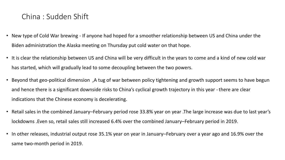## China : Sudden Shift

- New type of Cold War brewing If anyone had hoped for a smoother relationship between US and China under the Biden administration the Alaska meeting on Thursday put cold water on that hope.
- It is clear the relationship between US and China will be very difficult in the years to come and a kind of new cold war has started, which will gradually lead to some decoupling between the two powers.
- Beyond that geo-political dimension ,A tug of war between policy tightening and growth support seems to have begun and hence there is a significant downside risks to China's cyclical growth trajectory in this year -there are clear indications that the Chinese economy is decelerating.
- Retail sales in the combined January–February period rose 33.8% year on year .The large increase was due to last year's lockdowns .Even so, retail sales still increased 6.4% over the combined January–February period in 2019.
- In other releases, industrial output rose 35.1% year on year in January–February over a year ago and 16.9% over the same two-month period in 2019.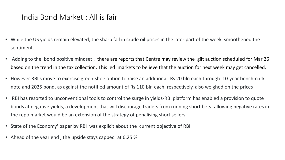# India Bond Market : All is fair

- While the US yields remain elevated, the sharp fall in crude oil prices in the later part of the week smoothened the sentiment.
- Adding to the bond positive mindset , there are reports that Centre may review the gilt auction scheduled for Mar 26 based on the trend in the tax collection. This led markets to believe that the auction for next week may get cancelled.
- However RBI's move to exercise green-shoe option to raise an additional Rs 20 bln each through 10-year benchmark note and 2025 bond, as against the notified amount of Rs 110 bln each, respectively, also weighed on the prices
- RBI has resorted to unconventional tools to control the surge in yields-RBI platform has enabled a provision to quote bonds at negative yields, a development that will discourage traders from running short bets- allowing negative rates in the repo market would be an extension of the strategy of penalising short sellers.
- State of the Economy' paper by RBI was explicit about the current objective of RBI
- Ahead of the year end , the upside stays capped at 6.25 %